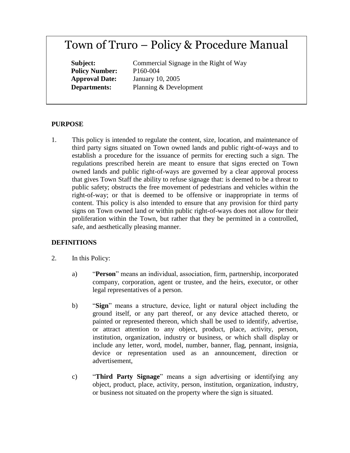# Town of Truro – Policy & Procedure Manual

**Policy Number:** P160-004

**Subject:** Commercial Signage in the Right of Way **Approval Date:** January 10, 2005 **Departments:** Planning & Development

#### **PURPOSE**

1. This policy is intended to regulate the content, size, location, and maintenance of third party signs situated on Town owned lands and public right-of-ways and to establish a procedure for the issuance of permits for erecting such a sign. The regulations prescribed herein are meant to ensure that signs erected on Town owned lands and public right-of-ways are governed by a clear approval process that gives Town Staff the ability to refuse signage that: is deemed to be a threat to public safety; obstructs the free movement of pedestrians and vehicles within the right-of-way; or that is deemed to be offensive or inappropriate in terms of content. This policy is also intended to ensure that any provision for third party signs on Town owned land or within public right-of-ways does not allow for their proliferation within the Town, but rather that they be permitted in a controlled, safe, and aesthetically pleasing manner.

#### **DEFINITIONS**

- 2. In this Policy:
	- a) "**Person**" means an individual, association, firm, partnership, incorporated company, corporation, agent or trustee, and the heirs, executor, or other legal representatives of a person.
	- b) "**Sign**" means a structure, device, light or natural object including the ground itself, or any part thereof, or any device attached thereto, or painted or represented thereon, which shall be used to identify, advertise, or attract attention to any object, product, place, activity, person, institution, organization, industry or business, or which shall display or include any letter, word, model, number, banner, flag, pennant, insignia, device or representation used as an announcement, direction or advertisement,
	- c) "**Third Party Signage**" means a sign advertising or identifying any object, product, place, activity, person, institution, organization, industry, or business not situated on the property where the sign is situated.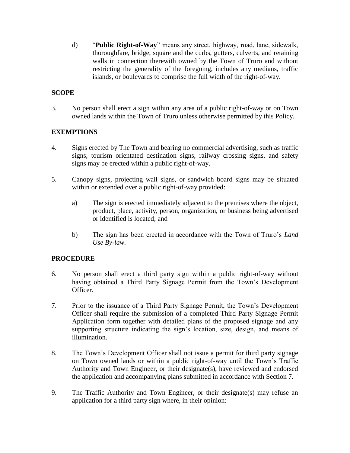d) "**Public Right-of-Way**" means any street, highway, road, lane, sidewalk, thoroughfare, bridge, square and the curbs, gutters, culverts, and retaining walls in connection therewith owned by the Town of Truro and without restricting the generality of the foregoing, includes any medians, traffic islands, or boulevards to comprise the full width of the right-of-way.

## **SCOPE**

3. No person shall erect a sign within any area of a public right-of-way or on Town owned lands within the Town of Truro unless otherwise permitted by this Policy.

## **EXEMPTIONS**

- 4. Signs erected by The Town and bearing no commercial advertising, such as traffic signs, tourism orientated destination signs, railway crossing signs, and safety signs may be erected within a public right-of-way.
- 5. Canopy signs, projecting wall signs, or sandwich board signs may be situated within or extended over a public right-of-way provided:
	- a) The sign is erected immediately adjacent to the premises where the object, product, place, activity, person, organization, or business being advertised or identified is located; and
	- b) The sign has been erected in accordance with the Town of Truro's *Land Use By-law.*

## **PROCEDURE**

- 6. No person shall erect a third party sign within a public right-of-way without having obtained a Third Party Signage Permit from the Town's Development Officer.
- 7. Prior to the issuance of a Third Party Signage Permit, the Town's Development Officer shall require the submission of a completed Third Party Signage Permit Application form together with detailed plans of the proposed signage and any supporting structure indicating the sign's location, size, design, and means of illumination.
- 8. The Town's Development Officer shall not issue a permit for third party signage on Town owned lands or within a public right-of-way until the Town's Traffic Authority and Town Engineer, or their designate(s), have reviewed and endorsed the application and accompanying plans submitted in accordance with Section 7.
- 9. The Traffic Authority and Town Engineer, or their designate(s) may refuse an application for a third party sign where, in their opinion: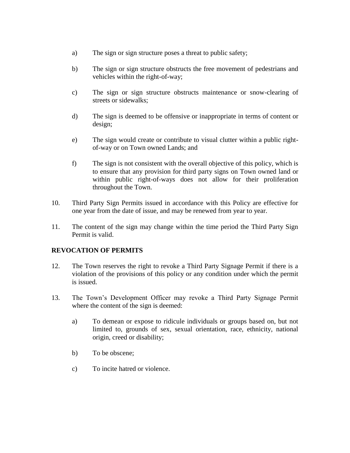- a) The sign or sign structure poses a threat to public safety;
- b) The sign or sign structure obstructs the free movement of pedestrians and vehicles within the right-of-way;
- c) The sign or sign structure obstructs maintenance or snow-clearing of streets or sidewalks;
- d) The sign is deemed to be offensive or inappropriate in terms of content or design;
- e) The sign would create or contribute to visual clutter within a public rightof-way or on Town owned Lands; and
- f) The sign is not consistent with the overall objective of this policy, which is to ensure that any provision for third party signs on Town owned land or within public right-of-ways does not allow for their proliferation throughout the Town.
- 10. Third Party Sign Permits issued in accordance with this Policy are effective for one year from the date of issue, and may be renewed from year to year.
- 11. The content of the sign may change within the time period the Third Party Sign Permit is valid.

## **REVOCATION OF PERMITS**

- 12. The Town reserves the right to revoke a Third Party Signage Permit if there is a violation of the provisions of this policy or any condition under which the permit is issued.
- 13. The Town's Development Officer may revoke a Third Party Signage Permit where the content of the sign is deemed:
	- a) To demean or expose to ridicule individuals or groups based on, but not limited to, grounds of sex, sexual orientation, race, ethnicity, national origin, creed or disability;
	- b) To be obscene;
	- c) To incite hatred or violence.